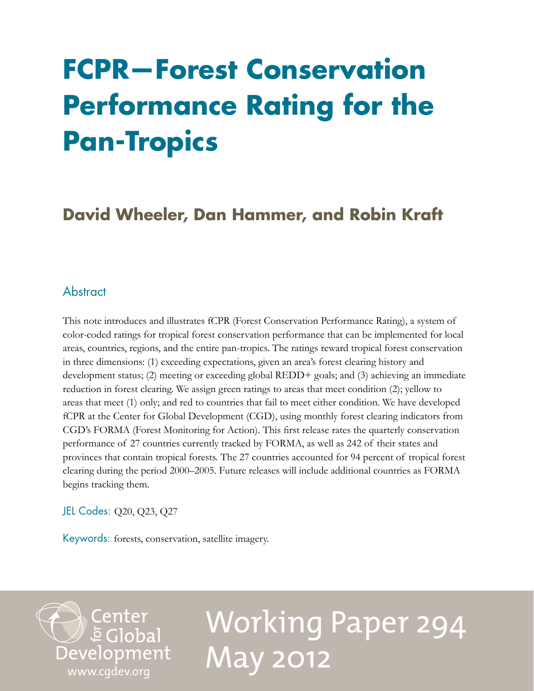## **FCPR—Forest Conservation Performance Rating for the Pan-Tropics**

## **David Wheeler, Dan Hammer, and Robin Kraft**

## **Abstract**

This note introduces and illustrates fCPR (Forest Conservation Performance Rating), a system of color-coded ratings for tropical forest conservation performance that can be implemented for local areas, countries, regions, and the entire pan-tropics. The ratings reward tropical forest conservation in three dimensions: (1) exceeding expectations, given an area's forest clearing history and development status; (2) meeting or exceeding global REDD+ goals; and (3) achieving an immediate reduction in forest clearing. We assign green ratings to areas that meet condition (2); yellow to areas that meet (1) only; and red to countries that fail to meet either condition. We have developed fCPR at the Center for Global Development (CGD), using monthly forest clearing indicators from CGD's FORMA (Forest Monitoring for Action). This first release rates the quarterly conservation performance of 27 countries currently tracked by FORMA, as well as 242 of their states and provinces that contain tropical forests. The 27 countries accounted for 94 percent of tropical forest clearing during the period 2000–2005. Future releases will include additional countries as FORMA begins tracking them.

JEL Codes: Q20, Q23, Q27

Keywords: forests, conservation, satellite imagery.

Center<br>Development<br>Development [www.cgdev.org](http://www.cgdev.org)

# Working Paper 294 May 2012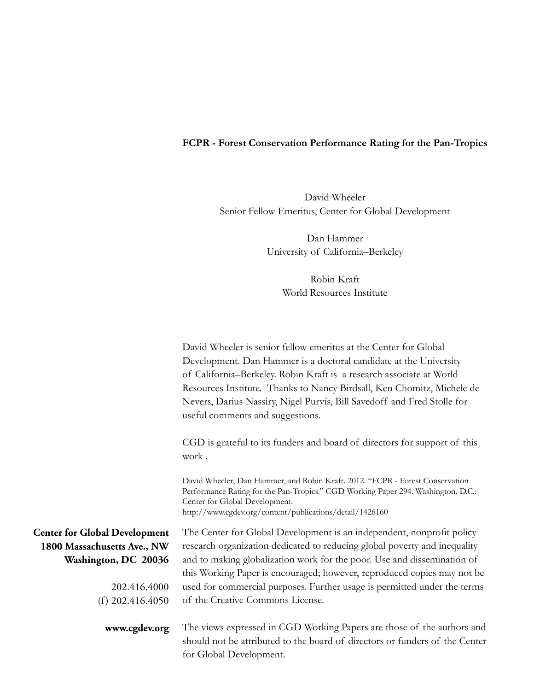### **FCPR - Forest Conservation Performance Rating for the Pan-Tropics**

David Wheeler Senior Fellow Emeritus, Center for Global Development

> Dan Hammer University of California–Berkeley

> > Robin Kraft World Resources Institute

| David Wheeler is senior fellow emeritus at the Center for Global                                                                                                                                                                                                 |
|------------------------------------------------------------------------------------------------------------------------------------------------------------------------------------------------------------------------------------------------------------------|
| Development. Dan Hammer is a doctoral candidate at the University                                                                                                                                                                                                |
| of California-Berkeley. Robin Kraft is a research associate at World                                                                                                                                                                                             |
| Resources Institute. Thanks to Nancy Birdsall, Ken Chomitz, Michele de                                                                                                                                                                                           |
| Nevers, Darius Nassiry, Nigel Purvis, Bill Savedoff and Fred Stolle for<br>useful comments and suggestions.                                                                                                                                                      |
| CGD is grateful to its funders and board of directors for support of this<br>work.                                                                                                                                                                               |
| David Wheeler, Dan Hammer, and Robin Kraft. 2012. "FCPR - Forest Conservation<br>Performance Rating for the Pan-Tropics." CGD Working Paper 294. Washington, D.C.:<br>Center for Global Development.<br>http://www.cgdev.org/content/publications/detail/1426160 |
| The Center for Global Development is an independent, nonprofit policy                                                                                                                                                                                            |
| research organization dedicated to reducing global poverty and inequality                                                                                                                                                                                        |
| and to making globalization work for the poor. Use and dissemination of                                                                                                                                                                                          |
| this Working Paper is encouraged; however, reproduced copies may not be                                                                                                                                                                                          |
| used for commercial purposes. Further usage is permitted under the terms                                                                                                                                                                                         |
| of the Creative Commons License.                                                                                                                                                                                                                                 |
| The views expressed in CGD Working Papers are those of the authors and<br>should not be attributed to the board of directors or funders of the Center<br>for Global Development.                                                                                 |
|                                                                                                                                                                                                                                                                  |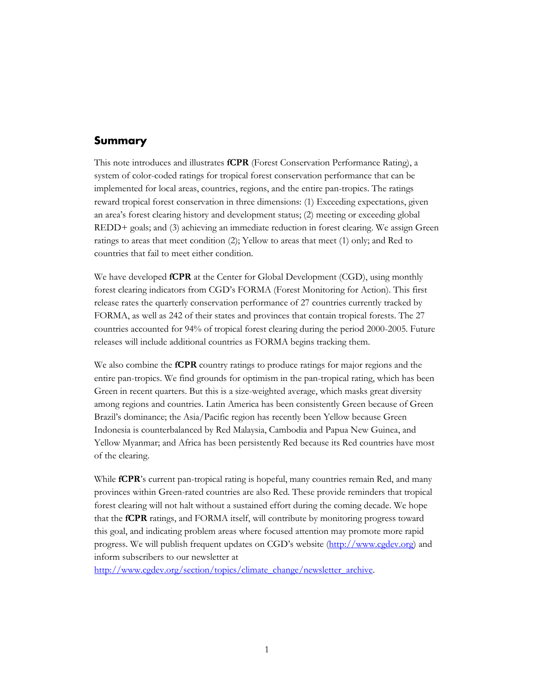#### **Summary**

This note introduces and illustrates **fCPR** (Forest Conservation Performance Rating), a system of color-coded ratings for tropical forest conservation performance that can be implemented for local areas, countries, regions, and the entire pan-tropics. The ratings reward tropical forest conservation in three dimensions: (1) Exceeding expectations, given an area's forest clearing history and development status; (2) meeting or exceeding global REDD+ goals; and (3) achieving an immediate reduction in forest clearing. We assign Green ratings to areas that meet condition (2); Yellow to areas that meet (1) only; and Red to countries that fail to meet either condition.

We have developed **fCPR** at the Center for Global Development (CGD), using monthly forest clearing indicators from CGD's FORMA (Forest Monitoring for Action). This first release rates the quarterly conservation performance of 27 countries currently tracked by FORMA, as well as 242 of their states and provinces that contain tropical forests. The 27 countries accounted for 94% of tropical forest clearing during the period 2000-2005. Future releases will include additional countries as FORMA begins tracking them.

We also combine the **fCPR** country ratings to produce ratings for major regions and the entire pan-tropics. We find grounds for optimism in the pan-tropical rating, which has been Green in recent quarters. But this is a size-weighted average, which masks great diversity among regions and countries. Latin America has been consistently Green because of Green Brazil's dominance; the Asia/Pacific region has recently been Yellow because Green Indonesia is counterbalanced by Red Malaysia, Cambodia and Papua New Guinea, and Yellow Myanmar; and Africa has been persistently Red because its Red countries have most of the clearing.

While **fCPR**'s current pan-tropical rating is hopeful, many countries remain Red, and many provinces within Green-rated countries are also Red. These provide reminders that tropical forest clearing will not halt without a sustained effort during the coming decade. We hope that the **fCPR** ratings, and FORMA itself, will contribute by monitoring progress toward this goal, and indicating problem areas where focused attention may promote more rapid progress. We will publish frequent updates on CGD's website [\(http://www.cgdev.org\)](http://www.cgdev.org/) and inform subscribers to our newsletter at

[http://www.cgdev.org/section/topics/climate\\_change/newsletter\\_archive.](http://www.cgdev.org/section/topics/climate_change/newsletter_archive)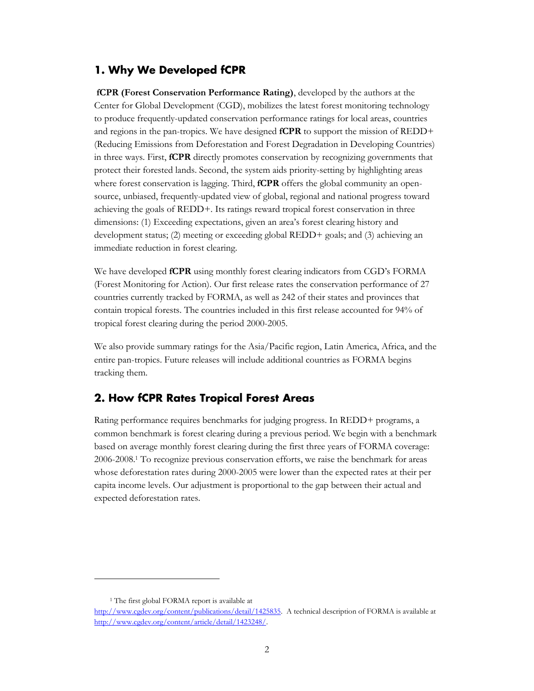#### **1. Why We Developed fCPR**

**fCPR (Forest Conservation Performance Rating)**, developed by the authors at the Center for Global Development (CGD), mobilizes the latest forest monitoring technology to produce frequently-updated conservation performance ratings for local areas, countries and regions in the pan-tropics. We have designed **fCPR** to support the mission of REDD+ (Reducing Emissions from Deforestation and Forest Degradation in Developing Countries) in three ways. First, **fCPR** directly promotes conservation by recognizing governments that protect their forested lands. Second, the system aids priority-setting by highlighting areas where forest conservation is lagging. Third, **fCPR** offers the global community an opensource, unbiased, frequently-updated view of global, regional and national progress toward achieving the goals of REDD+. Its ratings reward tropical forest conservation in three dimensions: (1) Exceeding expectations, given an area's forest clearing history and development status; (2) meeting or exceeding global REDD+ goals; and (3) achieving an immediate reduction in forest clearing.

We have developed **fCPR** using monthly forest clearing indicators from CGD's FORMA (Forest Monitoring for Action). Our first release rates the conservation performance of 27 countries currently tracked by FORMA, as well as 242 of their states and provinces that contain tropical forests. The countries included in this first release accounted for 94% of tropical forest clearing during the period 2000-2005.

We also provide summary ratings for the Asia/Pacific region, Latin America, Africa, and the entire pan-tropics. Future releases will include additional countries as FORMA begins tracking them.

#### **2. How fCPR Rates Tropical Forest Areas**

Rating performance requires benchmarks for judging progress. In REDD+ programs, a common benchmark is forest clearing during a previous period. We begin with a benchmark based on average monthly forest clearing during the first three years of FORMA coverage: 2006-2008.<sup>1</sup> To recognize previous conservation efforts, we raise the benchmark for areas whose deforestation rates during 2000-2005 were lower than the expected rates at their per capita income levels. Our adjustment is proportional to the gap between their actual and expected deforestation rates.

 $\overline{a}$ 

<sup>&</sup>lt;sup>1</sup> The first global FORMA report is available at

[http://www.cgdev.org/content/publications/detail/1425835.](http://www.cgdev.org/content/publications/detail/1425835) A technical description of FORMA is available at [http://www.cgdev.org/content/article/detail/1423248/.](http://www.cgdev.org/content/article/detail/1423248/)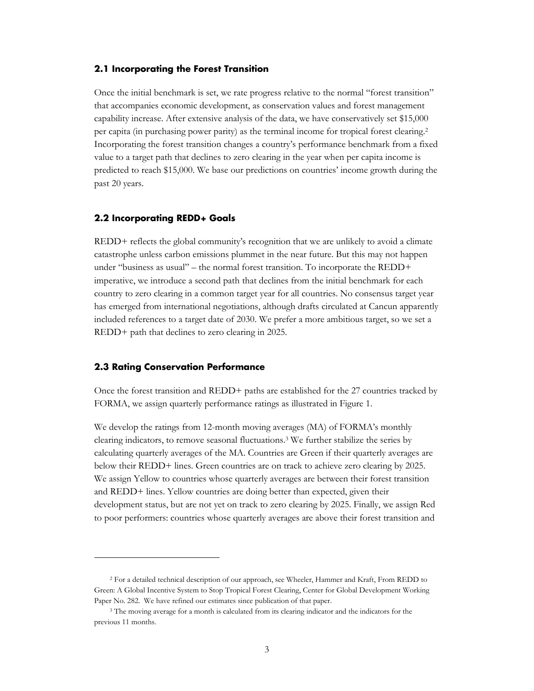#### **2.1 Incorporating the Forest Transition**

Once the initial benchmark is set, we rate progress relative to the normal "forest transition" that accompanies economic development, as conservation values and forest management capability increase. After extensive analysis of the data, we have conservatively set \$15,000 per capita (in purchasing power parity) as the terminal income for tropical forest clearing.<sup>2</sup> Incorporating the forest transition changes a country's performance benchmark from a fixed value to a target path that declines to zero clearing in the year when per capita income is predicted to reach \$15,000. We base our predictions on countries' income growth during the past 20 years.

#### **2.2 Incorporating REDD+ Goals**

REDD+ reflects the global community's recognition that we are unlikely to avoid a climate catastrophe unless carbon emissions plummet in the near future. But this may not happen under "business as usual" – the normal forest transition. To incorporate the REDD+ imperative, we introduce a second path that declines from the initial benchmark for each country to zero clearing in a common target year for all countries. No consensus target year has emerged from international negotiations, although drafts circulated at Cancun apparently included references to a target date of 2030. We prefer a more ambitious target, so we set a REDD+ path that declines to zero clearing in 2025.

#### **2.3 Rating Conservation Performance**

 $\overline{a}$ 

Once the forest transition and REDD+ paths are established for the 27 countries tracked by FORMA, we assign quarterly performance ratings as illustrated in Figure 1.

We develop the ratings from 12-month moving averages (MA) of FORMA's monthly clearing indicators, to remove seasonal fluctuations.<sup>3</sup> We further stabilize the series by calculating quarterly averages of the MA. Countries are Green if their quarterly averages are below their REDD+ lines. Green countries are on track to achieve zero clearing by 2025. We assign Yellow to countries whose quarterly averages are between their forest transition and REDD+ lines. Yellow countries are doing better than expected, given their development status, but are not yet on track to zero clearing by 2025. Finally, we assign Red to poor performers: countries whose quarterly averages are above their forest transition and

<sup>2</sup> For a detailed technical description of our approach, see Wheeler, Hammer and Kraft, From REDD to Green: A Global Incentive System to Stop Tropical Forest Clearing, Center for Global Development Working Paper No. 282. We have refined our estimates since publication of that paper.

<sup>&</sup>lt;sup>3</sup> The moving average for a month is calculated from its clearing indicator and the indicators for the previous 11 months.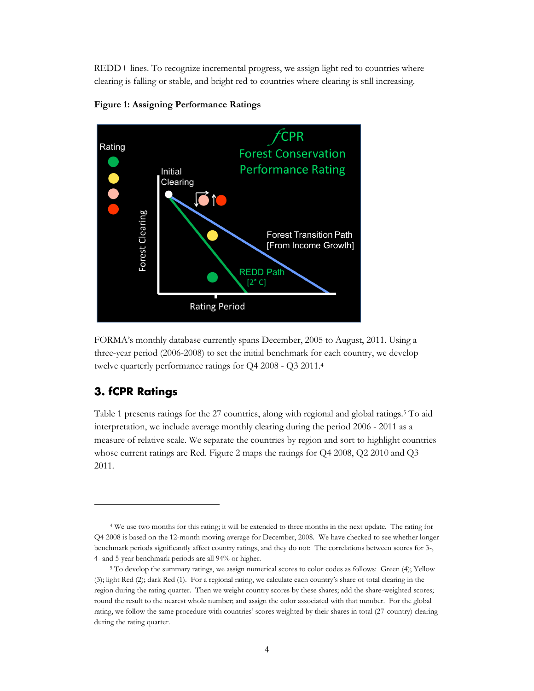REDD+ lines. To recognize incremental progress, we assign light red to countries where clearing is falling or stable, and bright red to countries where clearing is still increasing.





FORMA's monthly database currently spans December, 2005 to August, 2011. Using a three-year period (2006-2008) to set the initial benchmark for each country, we develop twelve quarterly performance ratings for Q4 2008 - Q3 2011.<sup>4</sup>

### **3. fCPR Ratings**

 $\overline{a}$ 

Table 1 presents ratings for the 27 countries, along with regional and global ratings.<sup>5</sup> To aid interpretation, we include average monthly clearing during the period 2006 - 2011 as a measure of relative scale. We separate the countries by region and sort to highlight countries whose current ratings are Red. Figure 2 maps the ratings for Q4 2008, Q2 2010 and Q3 2011.

<sup>4</sup> We use two months for this rating; it will be extended to three months in the next update. The rating for Q4 2008 is based on the 12-month moving average for December, 2008. We have checked to see whether longer benchmark periods significantly affect country ratings, and they do not: The correlations between scores for 3-, 4- and 5-year benchmark periods are all 94% or higher.

<sup>&</sup>lt;sup>5</sup> To develop the summary ratings, we assign numerical scores to color codes as follows: Green (4); Yellow (3); light Red (2); dark Red (1). For a regional rating, we calculate each country's share of total clearing in the region during the rating quarter. Then we weight country scores by these shares; add the share-weighted scores; round the result to the nearest whole number; and assign the color associated with that number. For the global rating, we follow the same procedure with countries' scores weighted by their shares in total (27-country) clearing during the rating quarter.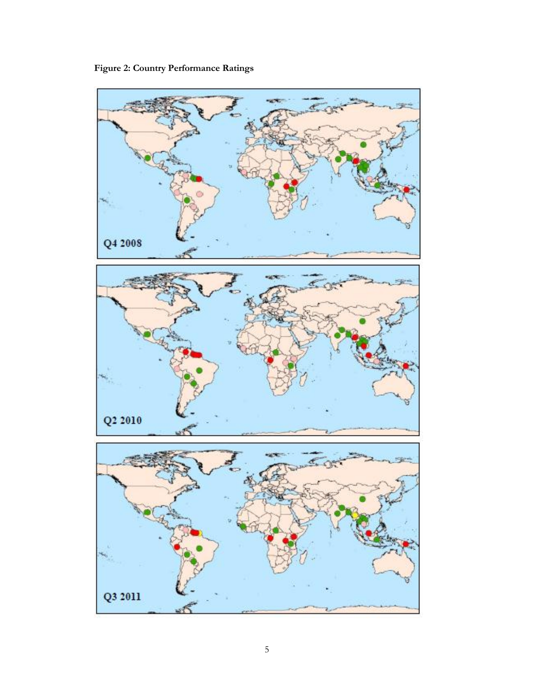**Figure 2: Country Performance Ratings**

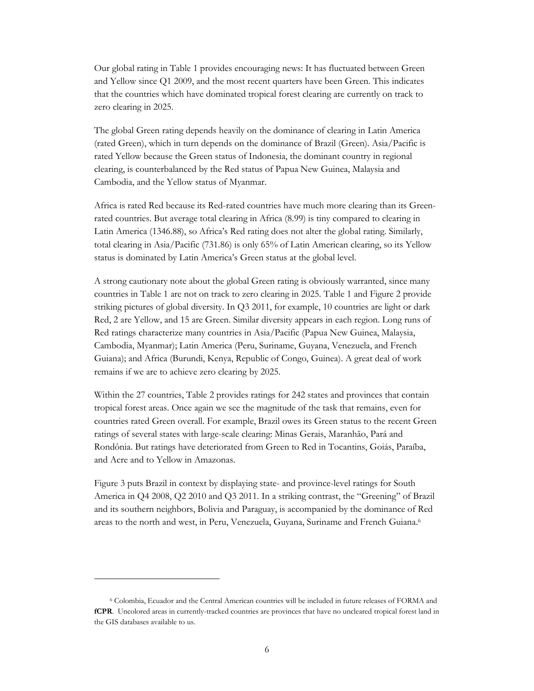Our global rating in Table 1 provides encouraging news: It has fluctuated between Green and Yellow since Q1 2009, and the most recent quarters have been Green. This indicates that the countries which have dominated tropical forest clearing are currently on track to zero clearing in 2025.

The global Green rating depends heavily on the dominance of clearing in Latin America (rated Green), which in turn depends on the dominance of Brazil (Green). Asia/Pacific is rated Yellow because the Green status of Indonesia, the dominant country in regional clearing, is counterbalanced by the Red status of Papua New Guinea, Malaysia and Cambodia, and the Yellow status of Myanmar.

Africa is rated Red because its Red-rated countries have much more clearing than its Greenrated countries. But average total clearing in Africa (8.99) is tiny compared to clearing in Latin America (1346.88), so Africa's Red rating does not alter the global rating. Similarly, total clearing in Asia/Pacific (731.86) is only 65% of Latin American clearing, so its Yellow status is dominated by Latin America's Green status at the global level.

A strong cautionary note about the global Green rating is obviously warranted, since many countries in Table 1 are not on track to zero clearing in 2025. Table 1 and Figure 2 provide striking pictures of global diversity. In Q3 2011, for example, 10 countries are light or dark Red, 2 are Yellow, and 15 are Green. Similar diversity appears in each region. Long runs of Red ratings characterize many countries in Asia/Pacific (Papua New Guinea, Malaysia, Cambodia, Myanmar); Latin America (Peru, Suriname, Guyana, Venezuela, and French Guiana); and Africa (Burundi, Kenya, Republic of Congo, Guinea). A great deal of work remains if we are to achieve zero clearing by 2025.

Within the 27 countries, Table 2 provides ratings for 242 states and provinces that contain tropical forest areas. Once again we see the magnitude of the task that remains, even for countries rated Green overall. For example, Brazil owes its Green status to the recent Green ratings of several states with large-scale clearing: Minas Gerais, Maranhão, Pará and Rondônia. But ratings have deteriorated from Green to Red in Tocantins, Goiás, Paraíba, and Acre and to Yellow in Amazonas.

Figure 3 puts Brazil in context by displaying state- and province-level ratings for South America in Q4 2008, Q2 2010 and Q3 2011. In a striking contrast, the "Greening" of Brazil and its southern neighbors, Bolivia and Paraguay, is accompanied by the dominance of Red areas to the north and west, in Peru, Venezuela, Guyana, Suriname and French Guiana.<sup>6</sup>

 $\overline{a}$ 

<sup>6</sup> Colombia, Ecuador and the Central American countries will be included in future releases of FORMA and **fCPR**. Uncolored areas in currently-tracked countries are provinces that have no uncleared tropical forest land in the GIS databases available to us.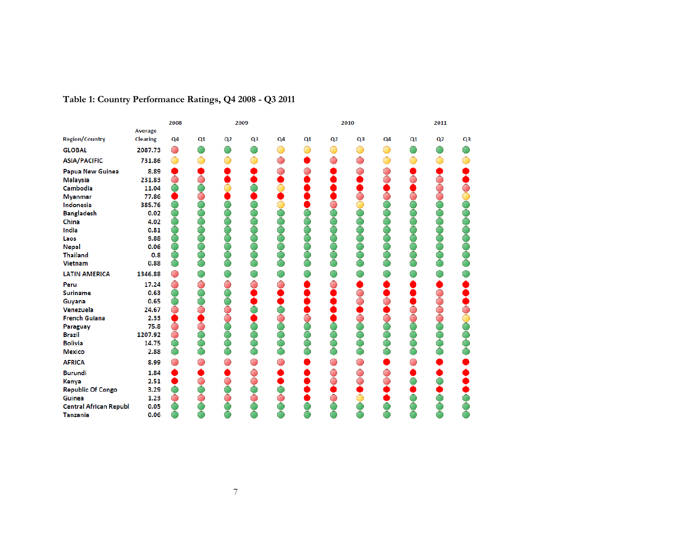|                               |                 | 2008           |    |    | 2009           |                |    |    | 2010           |                |    | 2011 |                |
|-------------------------------|-----------------|----------------|----|----|----------------|----------------|----|----|----------------|----------------|----|------|----------------|
|                               | Average         |                |    |    |                |                |    |    |                |                |    |      |                |
| <b>Region/Country</b>         | <b>Clearing</b> | Q <sub>4</sub> | Q1 | Q2 | Q <sub>3</sub> | Q <sub>4</sub> | Q1 | Q2 | Q <sub>3</sub> | Q <sub>4</sub> | Q1 | Q2   | Q <sub>3</sub> |
| <b>GLOBAL</b>                 | 2087.73         | ◯              |    |    |                |                |    |    |                |                |    |      |                |
| <b>ASIA/PACIFIC</b>           | 731.86          |                |    |    |                |                |    |    |                |                |    |      |                |
| Papua New Guinea              | 8.89            |                |    |    |                |                |    |    |                |                |    |      |                |
| <b>Malaysia</b>               | 231.83          |                |    |    |                |                |    |    |                |                |    |      |                |
| Cambodia                      | 11.04           |                |    |    |                |                |    |    |                |                |    |      |                |
| <b>Myanmar</b>                | 77.86           |                |    |    |                |                |    |    |                |                |    |      |                |
| Indonesia                     | 385.76          |                |    |    |                |                |    |    |                |                |    |      |                |
| <b>Bangladesh</b>             | 0.02            |                |    |    |                |                |    |    |                |                |    |      |                |
| China                         | 4.02            |                |    |    |                |                |    |    |                |                |    |      |                |
| India                         | 0.81            |                |    |    |                |                |    |    |                |                |    |      |                |
| Laos                          | 9.88            |                |    |    |                |                |    |    |                |                |    |      |                |
| <b>Nepal</b>                  | 0.06            |                |    |    |                |                |    |    |                |                |    |      |                |
| <b>Thailand</b>               | 0.8             |                |    |    |                |                |    |    |                |                |    |      |                |
| <b>Vietnam</b>                | 0.88            |                |    |    |                |                |    |    |                |                |    |      |                |
| <b>LATIN AMERICA</b>          | 1346.88         |                |    |    |                |                |    |    |                |                |    |      |                |
| Peru                          | 17.24           |                |    |    |                |                |    |    |                |                |    |      |                |
| <b>Suriname</b>               | 0.63            |                |    |    |                |                |    |    |                |                |    |      |                |
| Guyana                        | 0.65            |                |    |    |                |                |    |    |                |                |    |      |                |
| Venezuela                     | 24.67           |                |    |    |                |                |    |    |                |                |    |      |                |
| <b>French Guiana</b>          | 2.33            |                |    |    |                |                |    |    |                |                |    |      |                |
| Paraguay                      | 75.8            |                |    |    |                |                |    |    |                |                |    |      |                |
| <b>Brazil</b>                 | 1207.92         |                |    |    |                |                |    |    |                |                |    |      |                |
| <b>Bolivia</b>                | 14.75           |                |    |    |                |                |    |    |                |                |    |      |                |
| <b>Mexico</b>                 | 2.88            |                |    |    |                |                |    |    |                |                |    |      |                |
| <b>AFRICA</b>                 | 8.99            |                |    |    |                |                |    |    |                |                |    |      |                |
| <b>Burundi</b>                | 1.84            |                |    |    |                |                |    |    |                |                |    |      |                |
| <b>Kenya</b>                  | 2.51            |                |    |    |                |                |    |    |                |                |    |      |                |
| <b>Republic Of Congo</b>      | 3.29            |                |    |    |                |                |    |    |                |                |    |      |                |
| Guinea                        | 1.23            |                |    |    |                |                |    |    |                |                |    |      |                |
| <b>Central African Republ</b> | 0.05            |                |    |    |                |                |    |    |                |                |    |      |                |
| <b>Tanzania</b>               | 0.06            |                |    |    |                |                |    |    |                |                |    |      |                |

## **Table 1: Country Performance Ratings, Q4 2008 - Q3 2011**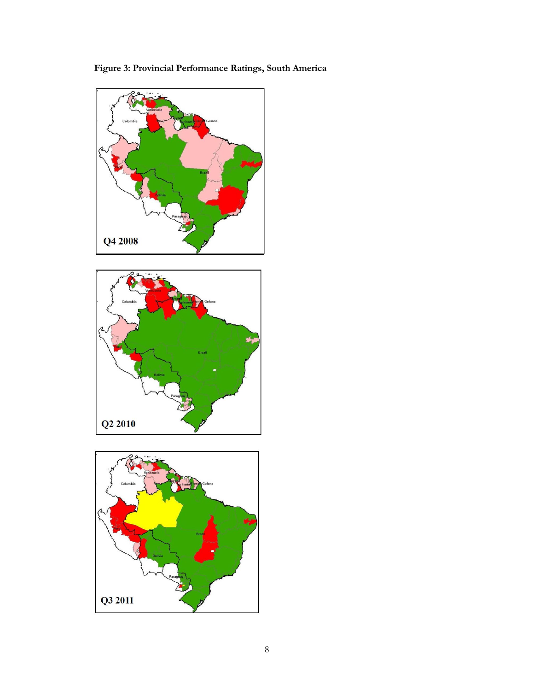**Figure 3: Provincial Performance Ratings, South America**





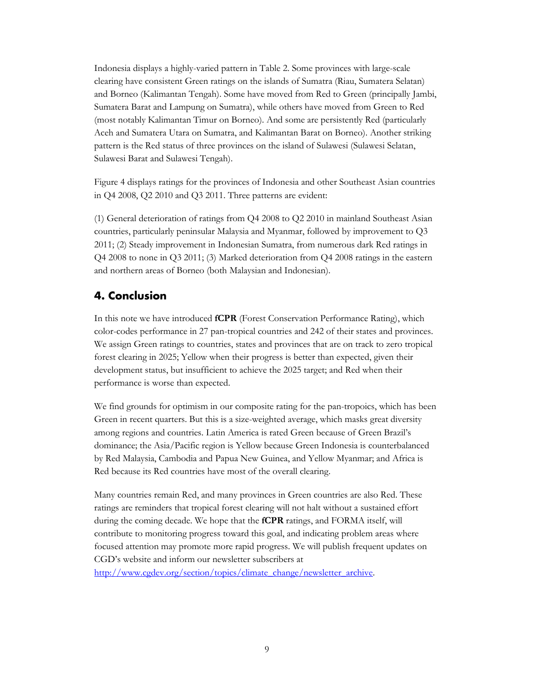Indonesia displays a highly-varied pattern in Table 2. Some provinces with large-scale clearing have consistent Green ratings on the islands of Sumatra (Riau, Sumatera Selatan) and Borneo (Kalimantan Tengah). Some have moved from Red to Green (principally Jambi, Sumatera Barat and Lampung on Sumatra), while others have moved from Green to Red (most notably Kalimantan Timur on Borneo). And some are persistently Red (particularly Aceh and Sumatera Utara on Sumatra, and Kalimantan Barat on Borneo). Another striking pattern is the Red status of three provinces on the island of Sulawesi (Sulawesi Selatan, Sulawesi Barat and Sulawesi Tengah).

Figure 4 displays ratings for the provinces of Indonesia and other Southeast Asian countries in Q4 2008, Q2 2010 and Q3 2011. Three patterns are evident:

(1) General deterioration of ratings from Q4 2008 to Q2 2010 in mainland Southeast Asian countries, particularly peninsular Malaysia and Myanmar, followed by improvement to Q3 2011; (2) Steady improvement in Indonesian Sumatra, from numerous dark Red ratings in Q4 2008 to none in Q3 2011; (3) Marked deterioration from Q4 2008 ratings in the eastern and northern areas of Borneo (both Malaysian and Indonesian).

## **4. Conclusion**

In this note we have introduced **fCPR** (Forest Conservation Performance Rating), which color-codes performance in 27 pan-tropical countries and 242 of their states and provinces. We assign Green ratings to countries, states and provinces that are on track to zero tropical forest clearing in 2025; Yellow when their progress is better than expected, given their development status, but insufficient to achieve the 2025 target; and Red when their performance is worse than expected.

We find grounds for optimism in our composite rating for the pan-tropoics, which has been Green in recent quarters. But this is a size-weighted average, which masks great diversity among regions and countries. Latin America is rated Green because of Green Brazil's dominance; the Asia/Pacific region is Yellow because Green Indonesia is counterbalanced by Red Malaysia, Cambodia and Papua New Guinea, and Yellow Myanmar; and Africa is Red because its Red countries have most of the overall clearing.

Many countries remain Red, and many provinces in Green countries are also Red. These ratings are reminders that tropical forest clearing will not halt without a sustained effort during the coming decade. We hope that the **fCPR** ratings, and FORMA itself, will contribute to monitoring progress toward this goal, and indicating problem areas where focused attention may promote more rapid progress. We will publish frequent updates on CGD's website and inform our newsletter subscribers at

[http://www.cgdev.org/section/topics/climate\\_change/newsletter\\_archive.](http://www.cgdev.org/section/topics/climate_change/newsletter_archive)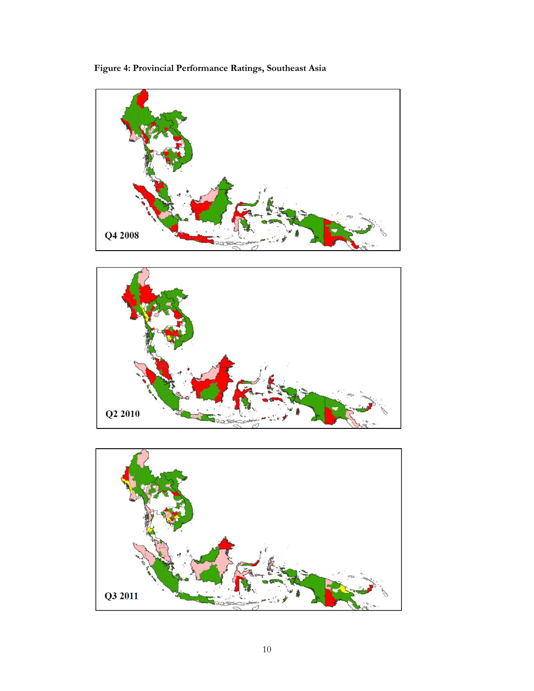**Figure 4: Provincial Performance Ratings, Southeast Asia**





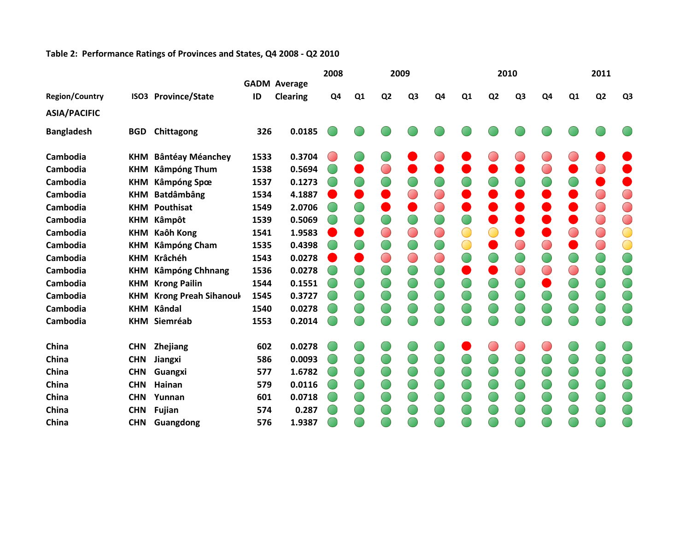#### **Table 2: Performance Ratings of Provinces and States, Q4 2008 - Q2 2010**

|                       |            |                                 |      |                                        | 2008 |                |                | 2009           |                |                |                | 2010           |                |    | 2011           |                |
|-----------------------|------------|---------------------------------|------|----------------------------------------|------|----------------|----------------|----------------|----------------|----------------|----------------|----------------|----------------|----|----------------|----------------|
| <b>Region/Country</b> |            | <b>ISO3 Province/State</b>      | ID   | <b>GADM Average</b><br><b>Clearing</b> | Q4   | Q <sub>1</sub> | Q <sub>2</sub> | Q <sub>3</sub> | Q <sub>4</sub> | Q <sub>1</sub> | Q <sub>2</sub> | Q <sub>3</sub> | Q <sub>4</sub> | Q1 | Q <sub>2</sub> | Q <sub>3</sub> |
|                       |            |                                 |      |                                        |      |                |                |                |                |                |                |                |                |    |                |                |
| <b>ASIA/PACIFIC</b>   |            |                                 |      |                                        |      |                |                |                |                |                |                |                |                |    |                |                |
| <b>Bangladesh</b>     | <b>BGD</b> | Chittagong                      | 326  | 0.0185                                 |      |                |                |                |                |                |                |                |                |    |                |                |
| Cambodia              |            | <b>KHM Bântéay Méanchey</b>     | 1533 | 0.3704                                 |      |                |                |                |                |                |                |                |                |    |                |                |
| Cambodia              | <b>KHM</b> | <b>Kâmpóng Thum</b>             | 1538 | 0.5694                                 |      |                |                |                |                |                |                |                |                |    |                |                |
| Cambodia              | <b>KHM</b> | Kâmpóng Spœ                     | 1537 | 0.1273                                 |      |                |                |                |                |                |                |                |                |    |                |                |
| Cambodia              |            | <b>KHM Batdâmbâng</b>           | 1534 | 4.1887                                 |      |                |                |                | $\bigcirc$     |                |                |                |                |    |                | $\bigcirc$     |
| Cambodia              |            | <b>KHM Pouthisat</b>            | 1549 | 2.0706                                 |      |                |                |                | $\bigcirc$     |                |                |                |                |    | $\bigcirc$     | ⌒              |
| Cambodia              |            | <b>KHM Kâmpôt</b>               | 1539 | 0.5069                                 |      |                |                |                | $\bigcirc$     |                |                |                |                |    | $\bigcirc$     | $\bigcirc$     |
| Cambodia              | <b>KHM</b> | Kaôh Kong                       | 1541 | 1.9583                                 |      |                |                | $\bigcirc$     | $\bigcirc$     |                |                |                |                |    | $\bigcirc$     |                |
| Cambodia              | <b>KHM</b> | Kâmpóng Cham                    | 1535 | 0.4398                                 |      |                |                |                | $\bigcirc$     | $\bigcirc$     |                |                |                |    | $\bigcirc$     | $\bigcirc$     |
| Cambodia              |            | KHM Krâchéh                     | 1543 | 0.0278                                 |      |                |                | $\bigcirc$     | $\bigcirc$     |                |                |                |                |    |                |                |
| Cambodia              | <b>KHM</b> | Kâmpóng Chhnang                 | 1536 | 0.0278                                 |      |                |                |                | ◯              |                |                |                |                |    |                |                |
| Cambodia              | <b>KHM</b> | <b>Krong Pailin</b>             | 1544 | 0.1551                                 |      |                |                |                | O              |                |                |                |                |    |                |                |
| Cambodia              |            | <b>KHM</b> Krong Preah Sihanouk | 1545 | 0.3727                                 |      |                |                |                |                |                |                |                |                |    |                |                |
| Cambodia              |            | <b>KHM Kândal</b>               | 1540 | 0.0278                                 |      |                |                |                | Œ              |                |                |                |                |    |                |                |
| Cambodia              |            | <b>KHM Siemréab</b>             | 1553 | 0.2014                                 |      |                |                |                |                |                |                |                |                |    |                |                |
| China                 | <b>CHN</b> | <b>Zhejiang</b>                 | 602  | 0.0278                                 |      |                |                |                |                |                |                |                |                |    |                |                |
| China                 | <b>CHN</b> | Jiangxi                         | 586  | 0.0093                                 |      |                |                |                |                |                |                |                |                |    |                |                |
| China                 | <b>CHN</b> | Guangxi                         | 577  | 1.6782                                 |      |                |                |                |                |                |                |                |                |    |                |                |
| China                 | <b>CHN</b> | Hainan                          | 579  | 0.0116                                 |      |                |                |                |                |                |                |                |                |    |                |                |
| China                 | <b>CHN</b> | Yunnan                          | 601  | 0.0718                                 |      |                |                |                |                |                |                |                |                |    |                |                |
| China                 | <b>CHN</b> | Fujian                          | 574  | 0.287                                  |      |                |                |                |                |                |                |                |                |    |                |                |
| China                 | <b>CHN</b> | Guangdong                       | 576  | 1.9387                                 |      |                |                |                |                |                |                |                |                |    |                |                |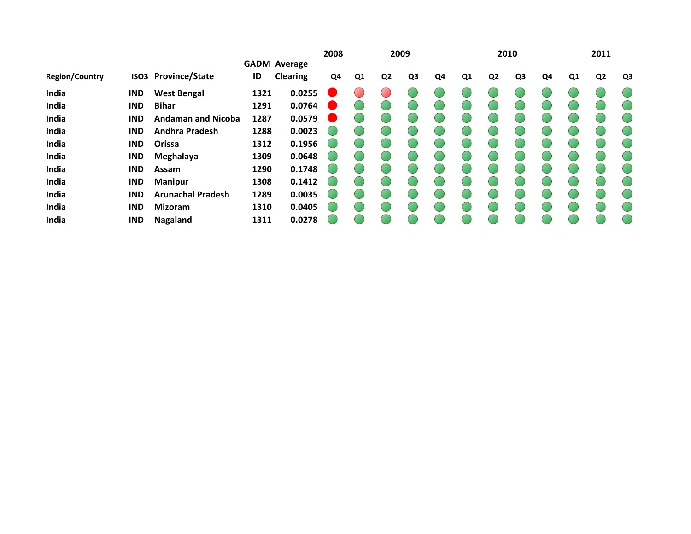|            |                           |                  |                 | 2008                                                                                                |                  |                |    |      |                |                |                |      |    | 2011           |    |
|------------|---------------------------|------------------|-----------------|-----------------------------------------------------------------------------------------------------|------------------|----------------|----|------|----------------|----------------|----------------|------|----|----------------|----|
|            |                           |                  |                 |                                                                                                     |                  |                |    |      |                |                |                |      |    |                |    |
|            | <b>Province/State</b>     | ID               | <b>Clearing</b> | Q4                                                                                                  | Q1               | Q <sub>2</sub> | Q3 | Q4   | Q <sub>1</sub> | Q <sub>2</sub> | Q <sub>3</sub> | Q4   | Q1 | Q <sub>2</sub> | Q3 |
| IND        | <b>West Bengal</b>        |                  | 0.0255          |                                                                                                     |                  |                |    |      |                |                |                |      |    |                |    |
| <b>IND</b> | <b>Bihar</b>              |                  | 0.0764          |                                                                                                     |                  |                |    |      |                |                |                |      |    |                |    |
| <b>IND</b> | <b>Andaman and Nicoba</b> | 1287             | 0.0579          |                                                                                                     |                  |                |    |      |                |                |                |      |    |                |    |
| <b>IND</b> | <b>Andhra Pradesh</b>     |                  | 0.0023          |                                                                                                     |                  |                |    |      |                |                |                |      |    |                |    |
| <b>IND</b> | Orissa                    |                  | 0.1956          |                                                                                                     |                  |                |    |      |                |                |                |      |    |                |    |
| <b>IND</b> | Meghalaya                 |                  | 0.0648          |                                                                                                     |                  |                |    |      |                |                |                |      |    |                |    |
| <b>IND</b> | Assam                     |                  |                 |                                                                                                     |                  |                |    |      |                |                |                |      |    |                |    |
| <b>IND</b> | <b>Manipur</b>            |                  |                 |                                                                                                     |                  |                |    |      |                |                |                |      |    |                |    |
| <b>IND</b> | <b>Arunachal Pradesh</b>  |                  | 0.0035          |                                                                                                     |                  |                |    |      |                |                |                |      |    |                |    |
| <b>IND</b> | <b>Mizoram</b>            |                  | 0.0405          |                                                                                                     |                  |                |    |      |                |                |                |      |    |                |    |
| <b>IND</b> | Nagaland                  |                  | 0.0278          |                                                                                                     |                  |                |    |      |                |                |                |      |    |                |    |
|            |                           | ISO <sub>3</sub> |                 | <b>GADM Average</b><br>1321<br>1291<br>1288<br>1312<br>1309<br>1290<br>1308<br>1289<br>1310<br>1311 | 0.1748<br>0.1412 |                |    | 2009 |                |                |                | 2010 |    |                |    |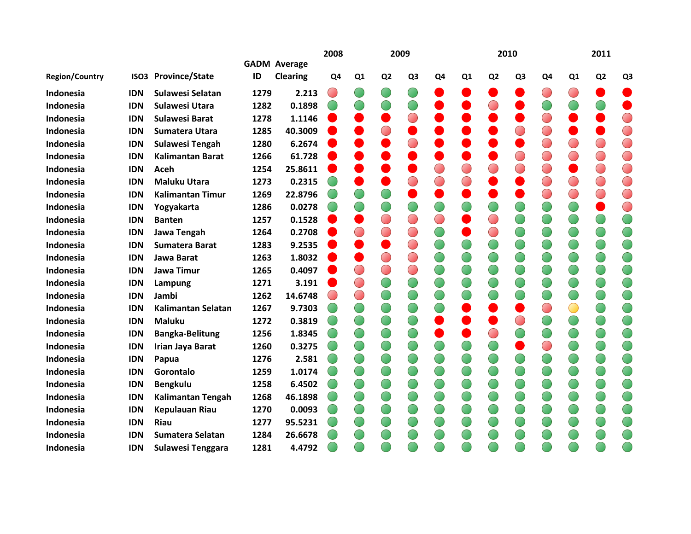|                       |            |                            |      |                                        | 2008           |                |                | 2009           |                |    |                | 2010           |            |                | 2011           |                |
|-----------------------|------------|----------------------------|------|----------------------------------------|----------------|----------------|----------------|----------------|----------------|----|----------------|----------------|------------|----------------|----------------|----------------|
| <b>Region/Country</b> |            | <b>ISO3 Province/State</b> | ID   | <b>GADM Average</b><br><b>Clearing</b> | Q <sub>4</sub> | Q <sub>1</sub> | Q <sub>2</sub> | Q <sub>3</sub> | Q <sub>4</sub> | Q1 | Q <sub>2</sub> | Q <sub>3</sub> | Q4         | Q <sub>1</sub> | Q <sub>2</sub> | Q <sub>3</sub> |
| Indonesia             | <b>IDN</b> | Sulawesi Selatan           | 1279 | 2.213                                  | $\bigcirc$     |                |                |                |                |    |                |                |            |                |                |                |
| Indonesia             | <b>IDN</b> | <b>Sulawesi Utara</b>      | 1282 | 0.1898                                 |                |                |                |                |                |    |                |                |            |                |                |                |
| Indonesia             | <b>IDN</b> | <b>Sulawesi Barat</b>      | 1278 | 1.1146                                 |                |                |                |                |                |    |                |                |            |                |                | $\bigcirc$     |
| Indonesia             | <b>IDN</b> | Sumatera Utara             | 1285 | 40.3009                                |                |                |                |                |                |    |                |                |            |                |                | $\bigcirc$     |
| Indonesia             | <b>IDN</b> | <b>Sulawesi Tengah</b>     | 1280 | 6.2674                                 |                |                |                |                |                |    |                |                |            |                | $\bigcirc$     | $\bigcirc$     |
| Indonesia             | <b>IDN</b> | <b>Kalimantan Barat</b>    | 1266 | 61.728                                 |                |                |                |                |                |    |                | $\bigcirc$     |            |                | $\bigcirc$     | $\bigcirc$     |
| Indonesia             | <b>IDN</b> | Aceh                       | 1254 | 25.8611                                |                |                |                |                |                |    |                |                | $\bigcirc$ |                | $\bigcirc$     | $\bigcirc$     |
| Indonesia             | <b>IDN</b> | <b>Maluku Utara</b>        | 1273 | 0.2315                                 |                |                |                |                | $\bigcirc$     |    |                |                |            |                | $\bigcirc$     | $\bigcirc$     |
| Indonesia             | <b>IDN</b> | <b>Kalimantan Timur</b>    | 1269 | 22.8796                                |                |                |                |                |                |    |                |                |            |                | $\bigcirc$     | $\bigcirc$     |
| Indonesia             | <b>IDN</b> | Yogyakarta                 | 1286 | 0.0278                                 |                |                |                |                |                |    |                |                |            |                |                | $\bigcirc$     |
| Indonesia             | <b>IDN</b> | <b>Banten</b>              | 1257 | 0.1528                                 |                |                |                |                | $\bigcirc$     |    | ◯              |                |            |                |                |                |
| Indonesia             | <b>IDN</b> | Jawa Tengah                | 1264 | 0.2708                                 |                | $\bigcirc$     |                | $\bigcirc$     | $\bigcirc$     |    | $\bigcirc$     |                |            |                | O              | O              |
| Indonesia             | <b>IDN</b> | Sumatera Barat             | 1283 | 9.2535                                 |                |                |                | $\bigcirc$     |                |    |                |                |            |                |                |                |
| Indonesia             | <b>IDN</b> | Jawa Barat                 | 1263 | 1.8032                                 |                |                |                |                |                |    |                |                |            |                |                |                |
| Indonesia             | <b>IDN</b> | Jawa Timur                 | 1265 | 0.4097                                 |                | $\bigcirc$     |                | $\bigcirc$     |                |    |                |                |            |                |                |                |
| Indonesia             | <b>IDN</b> | Lampung                    | 1271 | 3.191                                  |                | $\bigcirc$     |                |                |                |    |                |                |            |                | $\bigcirc$     |                |
| Indonesia             | <b>IDN</b> | Jambi                      | 1262 | 14.6748                                |                | $\bigcirc$     |                |                |                |    |                |                |            |                | O              |                |
| Indonesia             | <b>IDN</b> | <b>Kalimantan Selatan</b>  | 1267 | 9.7303                                 |                |                |                |                |                |    |                |                |            |                |                |                |
| Indonesia             | <b>IDN</b> | <b>Maluku</b>              | 1272 | 0.3819                                 |                |                |                |                |                |    |                | ⌒              |            |                |                |                |
| Indonesia             | <b>IDN</b> | <b>Bangka-Belitung</b>     | 1256 | 1.8345                                 |                |                |                |                |                |    |                |                |            |                |                |                |
| Indonesia             | <b>IDN</b> | Irian Jaya Barat           | 1260 | 0.3275                                 |                |                |                |                |                |    |                |                |            |                |                |                |
| Indonesia             | <b>IDN</b> | Papua                      | 1276 | 2.581                                  |                |                |                |                |                |    |                |                |            |                | $\bigcirc$     |                |
| <b>Indonesia</b>      | <b>IDN</b> | Gorontalo                  | 1259 | 1.0174                                 |                |                |                |                |                |    |                |                |            |                |                |                |
| Indonesia             | <b>IDN</b> | <b>Bengkulu</b>            | 1258 | 6.4502                                 |                |                |                |                |                |    |                |                |            |                |                |                |
| Indonesia             | <b>IDN</b> | <b>Kalimantan Tengah</b>   | 1268 | 46.1898                                |                |                |                |                |                |    |                |                |            |                |                |                |
| Indonesia             | <b>IDN</b> | <b>Kepulauan Riau</b>      | 1270 | 0.0093                                 |                |                |                |                |                |    |                |                |            |                |                |                |
| Indonesia             | <b>IDN</b> | Riau                       | 1277 | 95.5231                                |                |                |                |                |                |    |                |                |            |                |                |                |
| Indonesia             | <b>IDN</b> | Sumatera Selatan           | 1284 | 26.6678                                |                |                |                |                |                |    |                |                |            |                |                |                |
| Indonesia             | <b>IDN</b> | Sulawesi Tenggara          | 1281 | 4.4792                                 |                |                |                |                |                |    |                |                |            |                |                |                |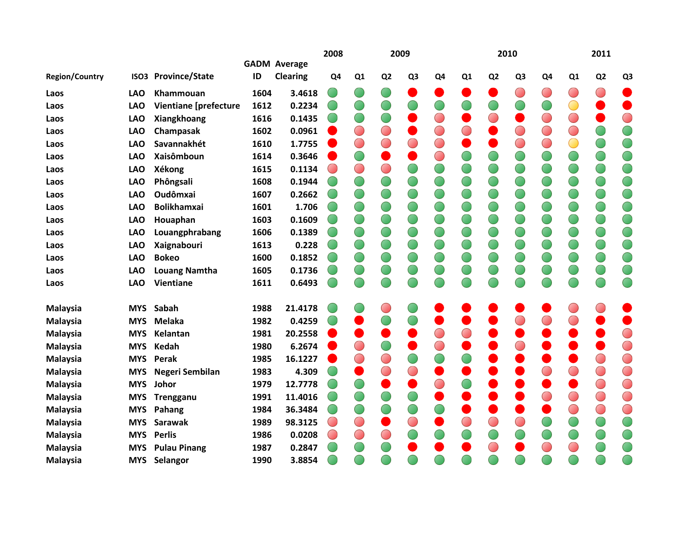|                       |                  |                              |      |                     | 2008           |            |                | 2009           |                |                |                | 2010       |                |    | 2011           |                |
|-----------------------|------------------|------------------------------|------|---------------------|----------------|------------|----------------|----------------|----------------|----------------|----------------|------------|----------------|----|----------------|----------------|
|                       |                  |                              |      | <b>GADM Average</b> |                |            |                |                |                |                |                |            |                |    |                |                |
| <b>Region/Country</b> | ISO <sub>3</sub> | <b>Province/State</b>        | ID   | <b>Clearing</b>     | Q <sub>4</sub> | Q1         | Q <sub>2</sub> | Q <sub>3</sub> | Q <sub>4</sub> | Q <sub>1</sub> | Q <sub>2</sub> | Q3         | Q <sub>4</sub> | Q1 | Q <sub>2</sub> | Q <sub>3</sub> |
| Laos                  | <b>LAO</b>       | Khammouan                    | 1604 | 3.4618              |                |            |                |                |                |                |                | $\bigcirc$ | $\bigcirc$     | Œ  | O              |                |
| Laos                  | <b>LAO</b>       | <b>Vientiane [prefecture</b> | 1612 | 0.2234              |                |            |                |                |                |                |                |            |                | O  |                |                |
| Laos                  | <b>LAO</b>       | Xiangkhoang                  | 1616 | 0.1435              |                |            |                |                | $\bigcirc$     |                |                |            | $\bigcirc$     |    |                | $\bigcirc$     |
| Laos                  | <b>LAO</b>       | Champasak                    | 1602 | 0.0961              |                | $\bigcirc$ |                |                | $\bigcirc$     |                |                |            | $\bigcirc$     |    |                | $\bigcirc$     |
| Laos                  | <b>LAO</b>       | Savannakhét                  | 1610 | 1.7755              |                | $\bigcirc$ |                |                | $\bigcirc$     |                |                | $\bigcirc$ | $\bigcirc$     |    |                |                |
| Laos                  | <b>LAO</b>       | <b>Xaisômboun</b>            | 1614 | 0.3646              |                | $\bigcirc$ |                |                | $\bigcirc$     |                |                |            |                |    |                |                |
| Laos                  | <b>LAO</b>       | <b>Xékong</b>                | 1615 | 0.1134              |                | $\bigcirc$ |                |                |                |                |                |            |                |    | $\bigcirc$     |                |
| Laos                  | <b>LAO</b>       | Phôngsali                    | 1608 | 0.1944              |                |            |                | $\bigcirc$     | $\bigcirc$     | O              |                | $\bigcirc$ |                |    | $\bigcirc$     | $\bigcirc$     |
| Laos                  | <b>LAO</b>       | <b>Oudômxai</b>              | 1607 | 0.2662              |                |            |                |                |                |                |                |            |                |    |                |                |
| Laos                  | <b>LAO</b>       | <b>Bolikhamxai</b>           | 1601 | 1.706               |                |            |                |                |                |                |                |            |                |    |                |                |
| Laos                  | <b>LAO</b>       | Houaphan                     | 1603 | 0.1609              |                |            |                |                |                | O              |                |            |                |    | O              |                |
| Laos                  | <b>LAO</b>       | Louangphrabang               | 1606 | 0.1389              |                |            |                |                |                | $\bigcirc$     |                |            |                |    |                |                |
| Laos                  | <b>LAO</b>       | Xaignabouri                  | 1613 | 0.228               |                |            |                |                |                |                |                |            |                |    |                |                |
| Laos                  | <b>LAO</b>       | <b>Bokeo</b>                 | 1600 | 0.1852              |                |            |                |                |                |                |                |            |                |    |                |                |
| Laos                  | <b>LAO</b>       | <b>Louang Namtha</b>         | 1605 | 0.1736              |                |            |                |                |                |                |                |            |                |    | $\bigcirc$     |                |
| Laos                  | <b>LAO</b>       | Vientiane                    | 1611 | 0.6493              |                |            |                |                |                |                |                |            |                |    |                |                |
| <b>Malaysia</b>       | <b>MYS</b>       | Sabah                        | 1988 | 21.4178             |                |            |                |                |                |                |                |            |                |    |                |                |
| <b>Malaysia</b>       | <b>MYS</b>       | <b>Melaka</b>                | 1982 | 0.4259              |                |            |                |                |                |                |                |            |                |    |                |                |
| <b>Malaysia</b>       | <b>MYS</b>       | Kelantan                     | 1981 | 20.2558             |                |            |                |                | $\bigcirc$     |                |                |            |                |    |                | $\bigcirc$     |
| <b>Malaysia</b>       | <b>MYS</b>       | Kedah                        | 1980 | 6.2674              |                | $\bigcirc$ |                |                | $\bigcirc$     |                |                |            |                |    |                | $\bigcirc$     |
| <b>Malaysia</b>       | <b>MYS</b>       | Perak                        | 1985 | 16.1227             |                | $\bigcirc$ |                |                |                |                |                |            |                |    | $\bigcirc$     | $\bigcirc$     |
| <b>Malaysia</b>       | <b>MYS</b>       | Negeri Sembilan              | 1983 | 4.309               |                |            |                |                |                |                |                |            |                |    | $\bigcirc$     | $\bigcirc$     |
| <b>Malaysia</b>       | <b>MYS</b>       | Johor                        | 1979 | 12.7778             |                | $\bigcirc$ |                |                | $\bigcirc$     |                |                |            |                |    | $\bigcirc$     | $\bigcirc$     |
| <b>Malaysia</b>       | <b>MYS</b>       | Trengganu                    | 1991 | 11.4016             |                |            |                |                |                |                |                |            |                |    | $\bigcirc$     | $\bigcirc$     |
| <b>Malaysia</b>       | <b>MYS</b>       | Pahang                       | 1984 | 36.3484             |                |            |                |                |                |                |                |            |                |    | $\bigcirc$     | $\bigcirc$     |
| Malaysia              | <b>MYS</b>       | <b>Sarawak</b>               | 1989 | 98.3125             | ۰              | $\bigcirc$ |                |                |                |                | $\bigcirc$     |            |                |    |                |                |
| <b>Malaysia</b>       | <b>MYS</b>       | <b>Perlis</b>                | 1986 | 0.0208              |                | $\bigcirc$ |                |                |                |                |                |            |                |    | $\bigcirc$     |                |
| <b>Malaysia</b>       | <b>MYS</b>       | <b>Pulau Pinang</b>          | 1987 | 0.2847              |                |            |                |                |                |                |                |            |                |    |                |                |
| Malaysia              | <b>MYS</b>       | Selangor                     | 1990 | 3.8854              |                |            |                |                |                |                |                |            |                |    |                |                |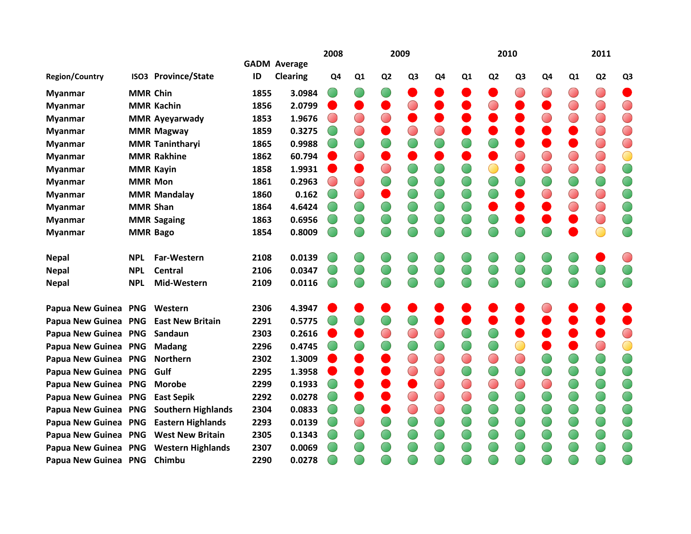|                                       |                 |                            |      |                                        | 2008           |            |                | 2009           |                |                |                | 2010           |    |                | 2011           |                |
|---------------------------------------|-----------------|----------------------------|------|----------------------------------------|----------------|------------|----------------|----------------|----------------|----------------|----------------|----------------|----|----------------|----------------|----------------|
| <b>Region/Country</b>                 |                 | <b>ISO3 Province/State</b> | ID   | <b>GADM Average</b><br><b>Clearing</b> | Q <sub>4</sub> | Q1         | Q <sub>2</sub> | Q <sub>3</sub> | Q <sub>4</sub> | Q <sub>1</sub> | Q <sub>2</sub> | Q <sub>3</sub> | Q4 | Q <sub>1</sub> | Q <sub>2</sub> | Q <sub>3</sub> |
|                                       |                 |                            |      |                                        |                |            |                |                |                |                |                |                |    |                |                |                |
| <b>Myanmar</b>                        | <b>MMR Chin</b> |                            | 1855 | 3.0984                                 |                |            |                |                |                |                |                |                |    |                | $\bigcirc$     |                |
| <b>Myanmar</b>                        |                 | <b>MMR Kachin</b>          | 1856 | 2.0799                                 |                |            |                |                |                |                |                |                |    |                | ◯              | $\bigcirc$     |
| <b>Myanmar</b>                        |                 | <b>MMR Ayeyarwady</b>      | 1853 | 1.9676                                 |                | $\bigcirc$ |                |                |                |                |                |                |    |                | $\bigcirc$     | $\bigcirc$     |
| <b>Myanmar</b>                        |                 | <b>MMR Magway</b>          | 1859 | 0.3275                                 |                | $\bigcap$  |                |                |                |                |                |                |    |                | $\bigcirc$     | $\bigcirc$     |
| <b>Myanmar</b>                        |                 | <b>MMR Tanintharyi</b>     | 1865 | 0.9988                                 |                |            |                |                |                |                |                |                |    |                | O              | $\bigcirc$     |
| <b>Myanmar</b>                        |                 | <b>MMR Rakhine</b>         | 1862 | 60.794                                 |                | $\bigcirc$ |                |                |                |                |                |                |    |                | $\bigcirc$     | $\bigcirc$     |
| <b>Myanmar</b>                        |                 | <b>MMR Kayin</b>           | 1858 | 1.9931                                 |                |            |                |                |                |                |                |                |    |                | $\bigcirc$     | $\bigcirc$     |
| <b>Myanmar</b>                        | <b>MMR Mon</b>  |                            | 1861 | 0.2963                                 |                | $\bigcirc$ |                |                |                |                |                |                |    |                | 0              | $\bigcirc$     |
| <b>Myanmar</b>                        |                 | <b>MMR Mandalay</b>        | 1860 | 0.162                                  |                | $\bigcirc$ |                |                |                |                |                |                |    |                | $\bigcirc$     |                |
| <b>Myanmar</b>                        | <b>MMR Shan</b> |                            | 1864 | 4.6424                                 |                |            |                |                |                |                |                |                |    |                | $\bigcirc$     | $\bigcirc$     |
| <b>Myanmar</b>                        |                 | <b>MMR Sagaing</b>         | 1863 | 0.6956                                 |                |            |                |                |                |                |                |                |    |                | ◯              |                |
| <b>Myanmar</b>                        | <b>MMR Bago</b> |                            | 1854 | 0.8009                                 |                |            |                |                |                |                |                |                |    |                |                |                |
| <b>Nepal</b>                          | <b>NPL</b>      | Far-Western                | 2108 | 0.0139                                 |                |            |                |                |                |                |                |                |    |                |                |                |
| <b>Nepal</b>                          | <b>NPL</b>      | Central                    | 2106 | 0.0347                                 |                |            |                |                |                |                |                |                |    |                |                |                |
| <b>Nepal</b>                          | <b>NPL</b>      | Mid-Western                | 2109 | 0.0116                                 |                |            |                |                |                |                |                |                |    |                |                |                |
| Papua New Guinea PNG Western          |                 |                            | 2306 | 4.3947                                 |                |            |                |                |                |                |                |                |    |                |                |                |
| Papua New Guinea PNG East New Britain |                 |                            | 2291 | 0.5775                                 |                |            |                |                |                |                |                |                |    |                |                |                |
| Papua New Guinea PNG                  |                 | Sandaun                    | 2303 | 0.2616                                 |                |            |                |                |                |                |                |                |    |                |                | $\bigcirc$     |
| Papua New Guinea PNG                  |                 | <b>Madang</b>              | 2296 | 0.4745                                 |                |            |                |                | $\bigcirc$     |                |                |                |    |                |                | $\bigcirc$     |
| Papua New Guinea PNG                  |                 | <b>Northern</b>            | 2302 | 1.3009                                 |                |            |                |                | $\bigcirc$     |                |                | $\bigcirc$     |    |                |                |                |
| <b>Papua New Guinea</b>               | <b>PNG</b>      | Gulf                       | 2295 | 1.3958                                 |                |            |                |                | $\bigcirc$     |                |                |                |    |                |                | O              |
| Papua New Guinea PNG                  |                 | <b>Morobe</b>              | 2299 | 0.1933                                 |                |            |                |                | $\bigcirc$     |                | $\bigcirc$     | $\bigcirc$     |    |                |                |                |
| Papua New Guinea PNG                  |                 | <b>East Sepik</b>          | 2292 | 0.0278                                 |                |            |                |                | $\bigcirc$     |                |                |                |    |                |                |                |
| <b>Papua New Guinea</b>               | <b>PNG</b>      | <b>Southern Highlands</b>  | 2304 | 0.0833                                 |                |            |                |                | $\bigcirc$     |                |                |                |    |                |                |                |
| Papua New Guinea PNG                  |                 | <b>Eastern Highlands</b>   | 2293 | 0.0139                                 |                | $\bigcirc$ |                |                |                |                |                |                |    |                |                |                |
| Papua New Guinea PNG West New Britain |                 |                            | 2305 | 0.1343                                 |                |            |                |                |                |                |                |                |    |                |                |                |
| <b>Papua New Guinea</b>               | <b>PNG</b>      | <b>Western Highlands</b>   | 2307 | 0.0069                                 |                |            |                |                |                |                |                |                |    |                |                |                |
| Papua New Guinea PNG                  |                 | Chimbu                     | 2290 | 0.0278                                 |                |            |                |                |                |                |                |                |    |                |                |                |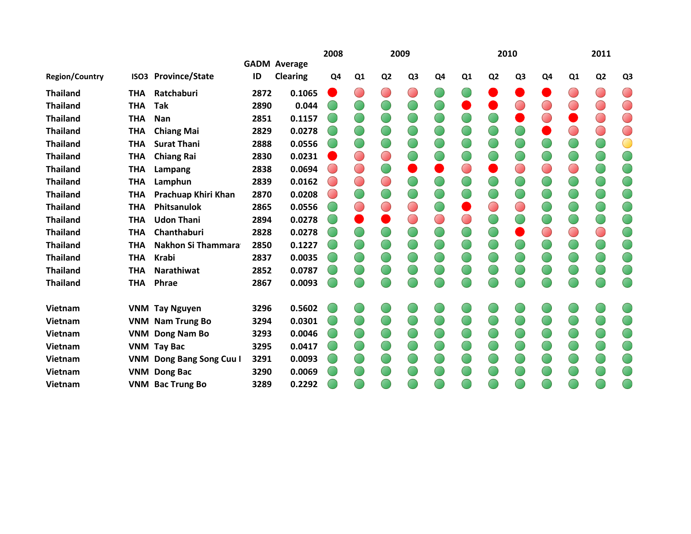|                       |            |                            |      |                     | 2008           |                          |                | 2009           |                |           |                | 2010           |            |                | 2011                                   |                |
|-----------------------|------------|----------------------------|------|---------------------|----------------|--------------------------|----------------|----------------|----------------|-----------|----------------|----------------|------------|----------------|----------------------------------------|----------------|
|                       |            |                            |      | <b>GADM Average</b> |                |                          |                |                |                |           |                |                |            |                |                                        |                |
| <b>Region/Country</b> |            | <b>ISO3 Province/State</b> | ID   | <b>Clearing</b>     | Q <sub>4</sub> | Q <sub>1</sub>           | Q <sub>2</sub> | Q <sub>3</sub> | Q <sub>4</sub> | Q1        | Q <sub>2</sub> | Q <sub>3</sub> | Q4         | Q <sub>1</sub> | Q <sub>2</sub>                         | Q <sub>3</sub> |
| <b>Thailand</b>       | <b>THA</b> | Ratchaburi                 | 2872 | 0.1065              |                | $\overline{\phantom{a}}$ |                | $\bigcirc$     |                |           |                |                |            |                | $\begin{pmatrix} 1 \\ 1 \end{pmatrix}$ | $\bigcirc$     |
| <b>Thailand</b>       | <b>THA</b> | Tak                        | 2890 | 0.044               |                |                          |                |                |                |           |                | ◯              |            |                | $\bigcirc$                             | $\bigcirc$     |
| <b>Thailand</b>       | <b>THA</b> | Nan                        | 2851 | 0.1157              |                |                          |                |                |                |           |                |                |            |                | ◯                                      | $\bigcirc$     |
| <b>Thailand</b>       | <b>THA</b> | <b>Chiang Mai</b>          | 2829 | 0.0278              |                |                          |                |                |                |           |                |                |            |                | O                                      | $\bigcirc$     |
| <b>Thailand</b>       | <b>THA</b> | <b>Surat Thani</b>         | 2888 | 0.0556              |                | O                        |                |                |                |           |                |                |            |                | O                                      | $\bigcirc$     |
| <b>Thailand</b>       | <b>THA</b> | <b>Chiang Rai</b>          | 2830 | 0.0231              |                | $(\Box)$                 | $\bigcirc$     |                |                |           |                |                |            |                |                                        |                |
| <b>Thailand</b>       | <b>THA</b> | Lampang                    | 2838 | 0.0694              |                | $\bigcirc$               |                |                |                | $\bigcap$ |                | $\bigcirc$     | $\bigcirc$ |                | 0                                      | O              |
| <b>Thailand</b>       | <b>THA</b> | Lamphun                    | 2839 | 0.0162              |                | $\bigcirc$               | $\bigcirc$     |                |                |           |                |                |            |                |                                        |                |
| <b>Thailand</b>       | <b>THA</b> | Prachuap Khiri Khan        | 2870 | 0.0208              |                | $\cup$                   |                |                |                |           |                |                |            |                |                                        |                |
| <b>Thailand</b>       | <b>THA</b> | Phitsanulok                | 2865 | 0.0556              |                | $\bigcirc$               | $\bigcirc$     | $\bigcirc$     |                |           | $\bigcirc$     | $\bigcirc$     |            |                |                                        |                |
| <b>Thailand</b>       | <b>THA</b> | <b>Udon Thani</b>          | 2894 | 0.0278              |                |                          |                | $\bigcirc$     | $\bigcirc$     | $\bigcap$ |                |                |            |                |                                        | O              |
| <b>Thailand</b>       | <b>THA</b> | Chanthaburi                | 2828 | 0.0278              |                |                          |                |                |                |           |                |                |            |                | O                                      | O              |
| <b>Thailand</b>       | <b>THA</b> | <b>Nakhon Si Thammara</b>  | 2850 | 0.1227              |                |                          |                |                |                |           |                |                |            |                |                                        |                |
| <b>Thailand</b>       | <b>THA</b> | <b>Krabi</b>               | 2837 | 0.0035              |                |                          |                |                |                |           |                |                |            |                |                                        |                |
| <b>Thailand</b>       | <b>THA</b> | <b>Narathiwat</b>          | 2852 | 0.0787              |                |                          |                |                |                |           |                |                |            |                |                                        |                |
| <b>Thailand</b>       | <b>THA</b> | Phrae                      | 2867 | 0.0093              |                | F.                       |                |                |                | Œ         |                | Œ              |            |                | Œ                                      | $\subset$      |
| Vietnam               |            | <b>VNM Tay Nguyen</b>      | 3296 | 0.5602              |                |                          |                |                |                |           |                |                |            |                |                                        |                |
| <b>Vietnam</b>        |            | <b>VNM Nam Trung Bo</b>    | 3294 | 0.0301              |                |                          |                |                |                |           |                |                |            |                |                                        |                |
| <b>Vietnam</b>        |            | <b>VNM Dong Nam Bo</b>     | 3293 | 0.0046              |                |                          |                |                |                |           |                |                |            |                |                                        |                |
| <b>Vietnam</b>        |            | <b>VNM Tay Bac</b>         | 3295 | 0.0417              |                |                          |                |                |                |           |                |                |            |                |                                        |                |
| <b>Vietnam</b>        |            | VNM Dong Bang Song Cuu I   | 3291 | 0.0093              |                |                          |                |                |                |           |                |                |            |                |                                        |                |
| <b>Vietnam</b>        |            | <b>VNM Dong Bac</b>        | 3290 | 0.0069              |                |                          |                |                |                |           |                |                |            |                |                                        |                |
| <b>Vietnam</b>        |            | <b>VNM Bac Trung Bo</b>    | 3289 | 0.2292              |                |                          |                |                |                |           |                |                |            |                |                                        |                |
|                       |            |                            |      |                     |                |                          |                |                |                |           |                |                |            |                |                                        |                |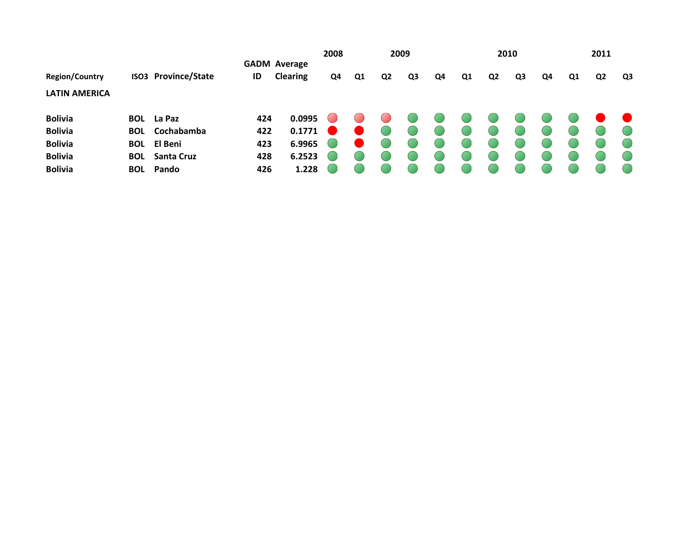|                       |            |                            |     |                                        | 2008 |                |                | 2009           |    |    |                | 2010           |    |    | 2011           |    |
|-----------------------|------------|----------------------------|-----|----------------------------------------|------|----------------|----------------|----------------|----|----|----------------|----------------|----|----|----------------|----|
| <b>Region/Country</b> |            | <b>ISO3 Province/State</b> | ID  | <b>GADM Average</b><br><b>Clearing</b> | Q4   | Q <sub>1</sub> | Q <sub>2</sub> | Q <sub>3</sub> | Q4 | Q1 | Q <sub>2</sub> | Q <sub>3</sub> | Q4 | Q1 | Q <sub>2</sub> | Q3 |
| <b>LATIN AMERICA</b>  |            |                            |     |                                        |      |                |                |                |    |    |                |                |    |    |                |    |
| <b>Bolivia</b>        |            | <b>BOL</b> La Paz          | 424 | 0.0995                                 |      |                |                |                |    |    |                |                |    |    |                |    |
| <b>Bolivia</b>        | <b>BOL</b> | Cochabamba                 | 422 | 0.1771                                 |      |                |                |                |    |    |                |                |    |    |                |    |
| <b>Bolivia</b>        |            | <b>BOL</b> El Beni         | 423 | 6.9965                                 |      |                |                |                |    |    |                |                |    |    |                |    |
| <b>Bolivia</b>        |            | <b>BOL</b> Santa Cruz      | 428 | 6.2523                                 |      |                |                |                |    |    |                |                |    |    |                |    |
| <b>Bolivia</b>        |            | <b>BOL</b> Pando           | 426 | 1.228                                  |      |                |                |                |    |    |                |                |    |    |                |    |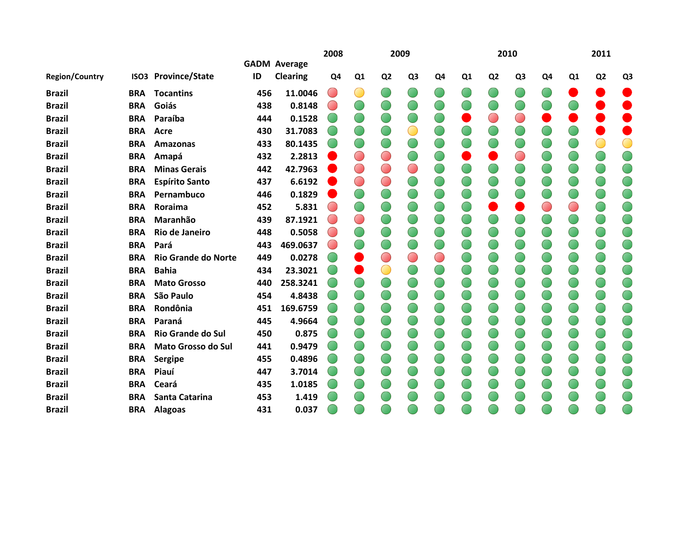|                       |            |                            |     |                                        | 2008                              |                          |                | 2009           |    |                |                | 2010           |                |    | 2011           |                |
|-----------------------|------------|----------------------------|-----|----------------------------------------|-----------------------------------|--------------------------|----------------|----------------|----|----------------|----------------|----------------|----------------|----|----------------|----------------|
| <b>Region/Country</b> |            | ISO3 Province/State        | ID  | <b>GADM Average</b><br><b>Clearing</b> | Q4                                | Q <sub>1</sub>           | Q <sub>2</sub> | Q <sub>3</sub> | Q4 | Q <sub>1</sub> | Q <sub>2</sub> | Q <sub>3</sub> | Q <sub>4</sub> | Q1 | Q <sub>2</sub> | Q <sub>3</sub> |
|                       |            |                            |     |                                        |                                   |                          |                |                |    |                |                |                |                |    |                |                |
| <b>Brazil</b>         | <b>BRA</b> | <b>Tocantins</b>           | 456 | 11.0046                                | $\begin{pmatrix} 1 \end{pmatrix}$ | O                        |                |                |    |                |                |                |                |    |                |                |
| <b>Brazil</b>         | <b>BRA</b> | Goiás                      | 438 | 0.8148                                 |                                   |                          |                |                |    |                |                |                |                |    |                |                |
| <b>Brazil</b>         | <b>BRA</b> | Paraíba                    | 444 | 0.1528                                 |                                   |                          |                |                |    |                | ◯              | ⌒              |                |    |                |                |
| <b>Brazil</b>         | <b>BRA</b> | <b>Acre</b>                | 430 | 31.7083                                |                                   |                          |                | $\bigcirc$     |    |                |                |                |                |    |                |                |
| <b>Brazil</b>         | <b>BRA</b> | Amazonas                   | 433 | 80.1435                                |                                   |                          |                |                |    |                |                |                |                |    |                | O              |
| <b>Brazil</b>         | <b>BRA</b> | Amapá                      | 432 | 2.2813                                 |                                   | $\bigcirc$               |                |                |    |                |                | $\bigcirc$     |                |    |                |                |
| <b>Brazil</b>         | <b>BRA</b> | <b>Minas Gerais</b>        | 442 | 42.7963                                |                                   | $\bigcirc$               |                | $\bigcirc$     |    |                |                |                |                |    |                |                |
| <b>Brazil</b>         | <b>BRA</b> | <b>Espírito Santo</b>      | 437 | 6.6192                                 |                                   | $\bigcirc$               |                |                |    |                |                |                |                |    |                |                |
| <b>Brazil</b>         | <b>BRA</b> | Pernambuco                 | 446 | 0.1829                                 |                                   |                          |                |                |    |                |                |                |                |    |                |                |
| <b>Brazil</b>         | <b>BRA</b> | Roraima                    | 452 | 5.831                                  |                                   | O                        |                |                |    |                |                |                |                |    | O              |                |
| <b>Brazil</b>         | <b>BRA</b> | Maranhão                   | 439 | 87.1921                                | Œ                                 | $\overline{\mathcal{C}}$ |                |                |    |                |                |                |                |    |                |                |
| <b>Brazil</b>         | <b>BRA</b> | Rio de Janeiro             | 448 | 0.5058                                 |                                   |                          |                |                |    |                |                |                |                |    |                |                |
| <b>Brazil</b>         | <b>BRA</b> | Pará                       | 443 | 469.0637                               |                                   |                          |                |                |    |                |                |                |                |    |                |                |
| <b>Brazil</b>         | <b>BRA</b> | <b>Rio Grande do Norte</b> | 449 | 0.0278                                 |                                   |                          |                | $\bigcirc$     | O  |                |                |                |                |    |                |                |
| <b>Brazil</b>         | <b>BRA</b> | <b>Bahia</b>               | 434 | 23.3021                                |                                   |                          |                |                |    |                |                |                |                |    |                |                |
| <b>Brazil</b>         | <b>BRA</b> | <b>Mato Grosso</b>         | 440 | 258.3241                               |                                   |                          |                |                |    |                |                |                |                |    |                |                |
| <b>Brazil</b>         | <b>BRA</b> | São Paulo                  | 454 | 4.8438                                 |                                   |                          |                |                |    |                |                |                |                |    |                |                |
| <b>Brazil</b>         | <b>BRA</b> | Rondônia                   | 451 | 169.6759                               |                                   |                          |                |                |    |                |                |                |                |    |                |                |
| <b>Brazil</b>         | <b>BRA</b> | Paraná                     | 445 | 4.9664                                 |                                   |                          |                |                |    |                |                |                |                |    |                |                |
| <b>Brazil</b>         | <b>BRA</b> | <b>Rio Grande do Sul</b>   | 450 | 0.875                                  |                                   |                          |                |                |    |                |                |                |                |    |                |                |
| <b>Brazil</b>         | <b>BRA</b> | <b>Mato Grosso do Sul</b>  | 441 | 0.9479                                 |                                   |                          |                |                |    |                |                |                |                |    |                |                |
| <b>Brazil</b>         | <b>BRA</b> | Sergipe                    | 455 | 0.4896                                 |                                   |                          |                |                |    |                |                |                |                |    |                |                |
| <b>Brazil</b>         | <b>BRA</b> | Piauí                      | 447 | 3.7014                                 |                                   |                          |                |                |    |                |                |                |                |    |                |                |
| <b>Brazil</b>         | <b>BRA</b> | Ceará                      | 435 | 1.0185                                 |                                   |                          |                |                |    |                |                |                |                |    |                |                |
| <b>Brazil</b>         | <b>BRA</b> | Santa Catarina             | 453 | 1.419                                  |                                   |                          |                |                |    |                |                |                |                |    |                |                |
| <b>Brazil</b>         | <b>BRA</b> | <b>Alagoas</b>             | 431 | 0.037                                  |                                   |                          |                |                |    |                |                |                |                |    |                |                |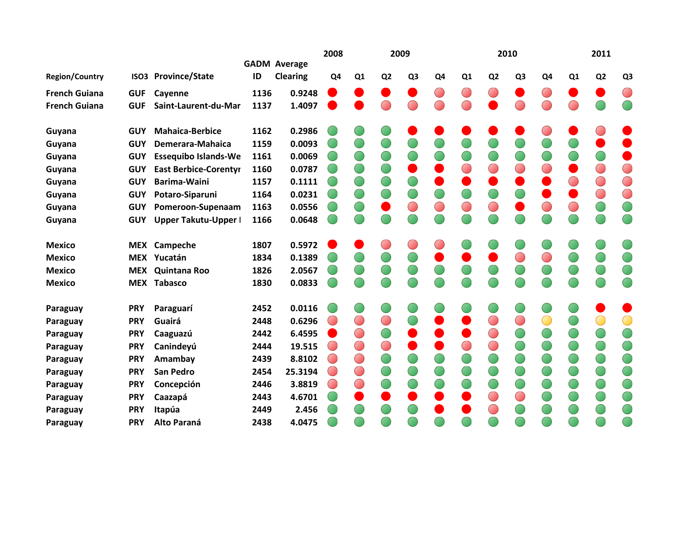|                       |            |                              |      |                     | 2008           |                |                | 2009           |                |            |                | 2010           |            |    | 2011           |                |
|-----------------------|------------|------------------------------|------|---------------------|----------------|----------------|----------------|----------------|----------------|------------|----------------|----------------|------------|----|----------------|----------------|
|                       |            |                              |      | <b>GADM Average</b> |                |                |                |                |                |            |                |                |            |    |                |                |
| <b>Region/Country</b> |            | <b>ISO3 Province/State</b>   | ID   | <b>Clearing</b>     | Q <sub>4</sub> | Q <sub>1</sub> | Q <sub>2</sub> | Q <sub>3</sub> | Q <sub>4</sub> | Q1         | Q <sub>2</sub> | Q <sub>3</sub> | Q4         | Q1 | Q <sub>2</sub> | Q <sub>3</sub> |
| <b>French Guiana</b>  | <b>GUF</b> | Cayenne                      | 1136 | 0.9248              |                |                |                |                | $\bigcirc$     | $\bigcirc$ | $(\ )$         |                | $\bigcirc$ |    |                | O              |
| <b>French Guiana</b>  | <b>GUF</b> | Saint-Laurent-du-Mar         | 1137 | 1.4097              |                |                |                |                |                |            |                | ⌒              |            |    |                |                |
| Guyana                | <b>GUY</b> | <b>Mahaica-Berbice</b>       | 1162 | 0.2986              |                |                |                |                |                |            |                |                |            |    |                |                |
| Guyana                | <b>GUY</b> | Demerara-Mahaica             | 1159 | 0.0093              |                |                |                |                |                |            |                |                |            |    |                |                |
| Guyana                | <b>GUY</b> | <b>Essequibo Islands-We</b>  | 1161 | 0.0069              |                | 0              |                |                |                |            |                |                |            |    |                |                |
| Guyana                | <b>GUY</b> | <b>East Berbice-Corentyr</b> | 1160 | 0.0787              |                | $\bigcirc$     |                |                |                | ◯          | O              | $\bigcirc$     |            |    | ◯              | $\bigcirc$     |
| Guyana                | <b>GUY</b> | <b>Barima-Waini</b>          | 1157 | 0.1111              |                | ◯              |                |                |                |            |                |                |            |    | $\bigcirc$     | $\bigcirc$     |
| Guyana                | <b>GUY</b> | Potaro-Siparuni              | 1164 | 0.0231              |                | U              |                |                |                |            |                |                |            |    | $\bigcirc$     | O              |
| Guyana                | <b>GUY</b> | Pomeroon-Supenaam            | 1163 | 0.0556              |                | U              |                |                | $\bigcirc$     | $\bigcirc$ | $\bigcirc$     |                |            |    | $\bigcirc$     |                |
| Guyana                | <b>GUY</b> | Upper Takutu-Upper I         | 1166 | 0.0648              |                |                |                |                |                |            |                |                |            |    |                |                |
| <b>Mexico</b>         |            | MEX Campeche                 | 1807 | 0.5972              |                |                |                |                |                |            |                |                |            |    |                |                |
| <b>Mexico</b>         |            | MEX Yucatán                  | 1834 | 0.1389              |                |                |                |                |                |            |                | $\bigcirc$     |            |    |                |                |
| <b>Mexico</b>         | <b>MEX</b> | Quintana Roo                 | 1826 | 2.0567              |                |                |                |                |                |            |                |                |            |    | 0              |                |
| <b>Mexico</b>         |            | <b>MEX Tabasco</b>           | 1830 | 0.0833              |                |                |                |                |                |            |                |                |            |    |                |                |
| Paraguay              | <b>PRY</b> | Paraguarí                    | 2452 | 0.0116              |                |                |                |                |                |            |                |                |            |    |                |                |
| Paraguay              | <b>PRY</b> | Guairá                       | 2448 | 0.6296              |                | $\bigcirc$     |                |                |                |            | O              | $\bigcirc$     |            |    | Œ              | $\bigcirc$     |
| Paraguay              | <b>PRY</b> | Caaguazú                     | 2442 | 6.4595              |                | $\bigcirc$     |                |                |                |            | ◯              |                |            |    |                |                |
| Paraguay              | <b>PRY</b> | Canindeyú                    | 2444 | 19.515              | $(\ )$         | $\bigcirc$     |                |                |                |            | $\bigcirc$     |                |            |    | Œ              |                |
| Paraguay              | <b>PRY</b> | Amambay                      | 2439 | 8.8102              |                | $\bigcirc$     |                |                |                |            |                |                |            |    |                |                |
| Paraguay              | <b>PRY</b> | <b>San Pedro</b>             | 2454 | 25.3194             | $(\ )$         | $\bigcirc$     |                |                |                |            |                |                |            |    | O              |                |
| Paraguay              | <b>PRY</b> | Concepción                   | 2446 | 3.8819              |                | $\bigcirc$     |                |                |                |            |                |                |            |    | U              |                |
| Paraguay              | <b>PRY</b> | Caazapá                      | 2443 | 4.6701              |                |                |                |                |                |            |                | $\bigcirc$     |            |    | O              |                |
| Paraguay              | <b>PRY</b> | Itapúa                       | 2449 | 2.456               |                |                |                |                |                |            |                |                |            |    |                |                |
| Paraguay              | <b>PRY</b> | Alto Paraná                  | 2438 | 4.0475              |                |                |                |                |                |            |                |                |            |    |                |                |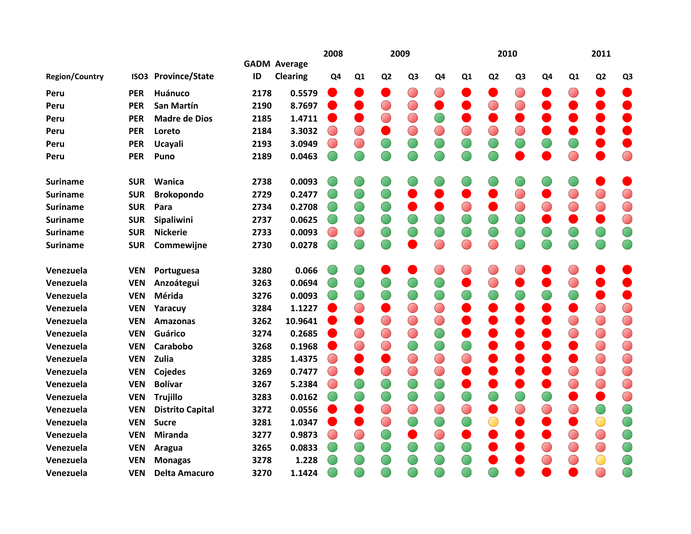|                       |                  |                         |      |                     | 2008           |            |                | 2009           |            |                |                | 2010           |            |    | 2011           |                |
|-----------------------|------------------|-------------------------|------|---------------------|----------------|------------|----------------|----------------|------------|----------------|----------------|----------------|------------|----|----------------|----------------|
|                       |                  |                         |      | <b>GADM Average</b> |                |            |                |                |            |                |                |                |            |    |                |                |
| <b>Region/Country</b> | ISO <sub>3</sub> | <b>Province/State</b>   | ID   | <b>Clearing</b>     | Q <sub>4</sub> | Q1         | Q <sub>2</sub> | Q <sub>3</sub> | Q4         | Q <sub>1</sub> | Q <sub>2</sub> | Q <sub>3</sub> | Q4         | Q1 | Q <sub>2</sub> | Q <sub>3</sub> |
| Peru                  | <b>PER</b>       | Huánuco                 | 2178 | 0.5579              |                |            |                |                |            |                |                | $\bigcirc$     |            |    |                |                |
| Peru                  | <b>PER</b>       | <b>San Martín</b>       | 2190 | 8.7697              |                |            | $\bigcirc$     | $\bigcirc$     | ●          |                | O              | $\bigcirc$     |            |    |                |                |
| Peru                  | <b>PER</b>       | <b>Madre de Dios</b>    | 2185 | 1.4711              |                |            |                | $\bigcirc$     |            |                |                |                |            |    |                | O              |
| Peru                  | <b>PER</b>       | Loreto                  | 2184 | 3.3032              |                | $\bigcirc$ |                | $\bigcirc$     |            |                |                | $\bigcirc$     |            |    |                |                |
| Peru                  | <b>PER</b>       | Ucayali                 | 2193 | 3.0949              |                | ◯          |                |                | $\bigcirc$ |                |                |                |            |    |                |                |
| Peru                  | <b>PER</b>       | Puno                    | 2189 | 0.0463              |                |            |                |                |            |                |                |                |            |    |                | $\bigcirc$     |
| <b>Suriname</b>       | <b>SUR</b>       | Wanica                  | 2738 | 0.0093              |                |            |                |                |            |                |                |                |            |    |                |                |
| <b>Suriname</b>       | <b>SUR</b>       | <b>Brokopondo</b>       | 2729 | 0.2477              |                |            |                |                |            |                |                | $\bigcirc$     |            |    |                | $\bigcirc$     |
| <b>Suriname</b>       | <b>SUR</b>       | Para                    | 2734 | 0.2708              |                |            |                |                |            |                |                | $\bigcirc$     |            |    | $\bigcirc$     | $\bigcirc$     |
| <b>Suriname</b>       | <b>SUR</b>       | Sipaliwini              | 2737 | 0.0625              |                |            |                |                |            |                |                |                |            |    |                | $\bigcirc$     |
| <b>Suriname</b>       | <b>SUR</b>       | <b>Nickerie</b>         | 2733 | 0.0093              |                | $\bigcirc$ |                |                | $\bigcirc$ |                |                | $\bigcirc$     |            |    | O              | $\bigcirc$     |
| <b>Suriname</b>       | <b>SUR</b>       | Commewijne              | 2730 | 0.0278              |                |            |                |                |            |                |                |                |            |    |                | O              |
| Venezuela             | <b>VEN</b>       | Portuguesa              | 3280 | 0.066               |                |            |                |                |            |                |                |                |            |    |                |                |
| Venezuela             | <b>VEN</b>       | Anzoátegui              | 3263 | 0.0694              |                |            |                |                |            |                |                |                |            |    |                |                |
| Venezuela             | <b>VEN</b>       | Mérida                  | 3276 | 0.0093              |                | O          |                |                | $\bigcirc$ |                |                |                |            |    |                | 0              |
| Venezuela             | <b>VEN</b>       | Yaracuy                 | 3284 | 1.1227              |                | O          |                | $\bigcirc$     |            |                |                |                |            |    | $\bigcirc$     | $\bigcirc$     |
| Venezuela             | <b>VEN</b>       | <b>Amazonas</b>         | 3262 | 10.9641             |                |            | $\bigcirc$     | $\bigcirc$     | $\bigcirc$ |                |                |                |            |    | $\bigcirc$     | $\bigcirc$     |
| Venezuela             | <b>VEN</b>       | Guárico                 | 3274 | 0.2685              |                | $\bigcirc$ |                | $\bigcap$      | $\bigcirc$ |                |                |                |            |    | $\bigcirc$     | $\bigcirc$     |
| Venezuela             | <b>VEN</b>       | Carabobo                | 3268 | 0.1968              |                | $\bigcirc$ |                |                | $\bigcirc$ |                |                |                |            |    | $\bigcirc$     | $\bigcirc$     |
| Venezuela             | <b>VEN</b>       | Zulia                   | 3285 | 1.4375              |                | ×.         |                | $\bigcirc$     | $\bigcirc$ |                |                |                |            |    | $\bigcirc$     | $\bigcirc$     |
| Venezuela             | <b>VEN</b>       | Cojedes                 | 3269 | 0.7477              |                |            | $\bigcirc$     | $\bigcirc$     | $\bigcirc$ |                |                |                |            |    | $\bigcirc$     | $\bigcirc$     |
| Venezuela             | <b>VEN</b>       | <b>Bolívar</b>          | 3267 | 5.2384              |                |            |                |                | $\bigcirc$ |                |                |                |            |    | $\bigcirc$     | $\bigcirc$     |
| Venezuela             | <b>VEN</b>       | <b>Trujillo</b>         | 3283 | 0.0162              |                |            |                |                |            |                |                |                |            |    |                | $\bigcirc$     |
| Venezuela             | <b>VEN</b>       | <b>Distrito Capital</b> | 3272 | 0.0556              |                |            | $\bigcirc$     |                | $\bigcirc$ |                |                | $\bigcirc$     |            |    |                | $\bigcirc$     |
| Venezuela             | <b>VEN</b>       | <b>Sucre</b>            | 3281 | 1.0347              |                |            | $\bigcirc$     |                | $\bigcirc$ |                |                |                |            |    | $\bigcirc$     | $\bigcirc$     |
| Venezuela             | <b>VEN</b>       | <b>Miranda</b>          | 3277 | 0.9873              |                | $\bigcirc$ |                |                | $\bigcirc$ |                |                |                |            |    | $\bigcirc$     | $\bigcirc$     |
| Venezuela             | <b>VEN</b>       | Aragua                  | 3265 | 0.0833              |                |            |                |                |            |                |                |                | $\bigcirc$ |    | $\bigcirc$     | $\bigcirc$     |
| Venezuela             | <b>VEN</b>       | <b>Monagas</b>          | 3278 | 1.228               |                |            |                |                |            |                |                |                |            |    |                | O              |
| Venezuela             | <b>VEN</b>       | <b>Delta Amacuro</b>    | 3270 | 1.1424              |                |            |                |                |            |                |                |                |            |    |                |                |